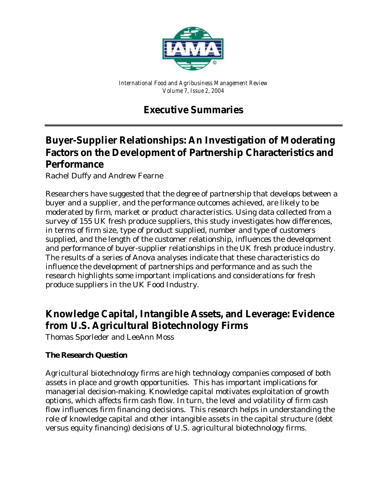

*International Food and Agribusiness Management Review Volume 7, Issue 2, 2004*

# **Executive Summaries**

# **Buyer-Supplier Relationships: An Investigation of Moderating Factors on the Development of Partnership Characteristics and Performance**

*Rachel Duffy and Andrew Fearne*

Researchers have suggested that the degree of partnership that develops between a buyer and a supplier, and the performance outcomes achieved, are likely to be moderated by firm, market or product characteristics. Using data collected from a survey of 155 UK fresh produce suppliers, this study investigates how differences, in terms of firm size, type of product supplied, number and type of customers supplied, and the length of the customer relationship, influences the development and performance of buyer-supplier relationships in the UK fresh produce industry. The results of a series of Anova analyses indicate that these characteristics do influence the development of partnerships and performance and as such the research highlights some important implications and considerations for fresh produce suppliers in the UK Food Industry.

# **Knowledge Capital, Intangible Assets, and Leverage: Evidence from U.S. Agricultural Biotechnology Firms**

*Thomas Sporleder and LeeAnn Moss*

# **The Research Question**

Agricultural biotechnology firms are high technology companies composed of both assets in place and growth opportunities. This has important implications for managerial decision-making. Knowledge capital motivates exploitation of growth options, which affects firm cash flow. In turn, the level and volatility of firm cash flow influences firm financing decisions. This research helps in understanding the role of knowledge capital and other intangible assets in the capital structure (debt versus equity financing) decisions of U.S. agricultural biotechnology firms.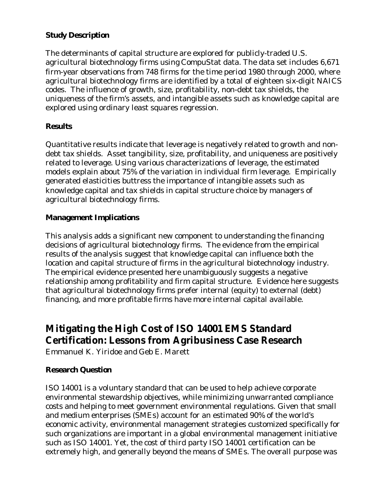#### **Study Description**

The determinants of capital structure are explored for publicly-traded U.S. agricultural biotechnology firms using CompuStat data. The data set includes 6,671 firm-year observations from 748 firms for the time period 1980 through 2000, where agricultural biotechnology firms are identified by a total of eighteen six-digit NAICS codes. The influence of growth, size, profitability, non-debt tax shields, the uniqueness of the firm's assets, and intangible assets such as knowledge capital are explored using ordinary least squares regression.

#### **Results**

Quantitative results indicate that leverage is negatively related to growth and nondebt tax shields. Asset tangibility, size, profitability, and uniqueness are positively related to leverage. Using various characterizations of leverage, the estimated models explain about 75% of the variation in individual firm leverage. Empirically generated elasticities buttress the importance of intangible assets such as knowledge capital and tax shields in capital structure choice by managers of agricultural biotechnology firms.

#### **Management Implications**

This analysis adds a significant new component to understanding the financing decisions of agricultural biotechnology firms. The evidence from the empirical results of the analysis suggest that knowledge capital can influence both the location and capital structure of firms in the agricultural biotechnology industry. The empirical evidence presented here unambiguously suggests a negative relationship among profitability and firm capital structure. Evidence here suggests that agricultural biotechnology firms prefer internal (equity) to external (debt) financing, and more profitable firms have more internal capital available.

# **Mitigating the High Cost of ISO 14001 EMS Standard Certification: Lessons from Agribusiness Case Research**

*Emmanuel K. Yiridoe and Geb E. Marett*

## **Research Question**

ISO 14001 is a voluntary standard that can be used to help achieve corporate environmental stewardship objectives, while minimizing unwarranted compliance costs and helping to meet government environmental regulations. Given that small and medium enterprises (SMEs) account for an estimated 90% of the world's economic activity, environmental management strategies customized specifically for such organizations are important in a global environmental management initiative such as ISO 14001. Yet, the cost of third party ISO 14001 certification can be extremely high, and generally beyond the means of SMEs. The overall purpose was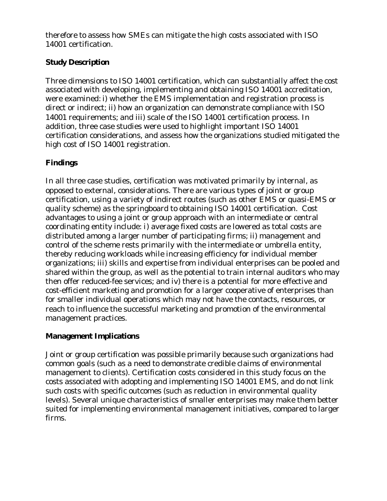therefore to assess how SMEs can mitigate the high costs associated with ISO 14001 certification.

## **Study Description**

Three dimensions to ISO 14001 certification, which can substantially affect the cost associated with developing, implementing and obtaining ISO 14001 accreditation, were examined: i) whether the EMS implementation and registration process is direct or indirect; ii) how an organization can demonstrate compliance with ISO 14001 requirements; and iii) scale of the ISO 14001 certification process. In addition, three case studies were used to highlight important ISO 14001 certification considerations, and assess how the organizations studied mitigated the high cost of ISO 14001 registration.

## **Findings**

In all three case studies, certification was motivated primarily by internal, as opposed to external, considerations. There are various types of joint or group certification, using a variety of indirect routes (such as other EMS or quasi-EMS or quality scheme) as the springboard to obtaining ISO 14001 certification. Cost advantages to using a joint or group approach with an intermediate or central coordinating entity include: i) average fixed costs are lowered as total costs are distributed among a larger number of participating firms; ii) management and control of the scheme rests primarily with the intermediate or umbrella entity, thereby reducing workloads while increasing efficiency for individual member organizations; iii) skills and expertise from individual enterprises can be pooled and shared within the group, as well as the potential to train internal auditors who may then offer reduced-fee services; and iv) there is a potential for more effective and cost-efficient marketing and promotion for a larger cooperative of enterprises than for smaller individual operations which may not have the contacts, resources, or reach to influence the successful marketing and promotion of the environmental management practices.

## **Management Implications**

Joint or group certification was possible primarily because such organizations had common goals (such as a need to demonstrate credible claims of environmental management to clients). Certification costs considered in this study focus on the costs associated with adopting and implementing ISO 14001 EMS, and do not link such costs with specific outcomes (such as reduction in environmental quality levels). Several unique characteristics of smaller enterprises may make them better suited for implementing environmental management initiatives, compared to larger firms.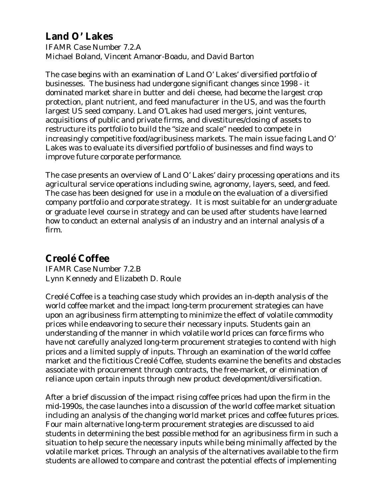# **Land O' Lakes**

IFAMR Case Number 7.2.A *Michael Boland, Vincent Amanor-Boadu, and David Barton*

The case begins with an examination of Land O' Lakes' diversified portfolio of businesses. The business had undergone significant changes since 1998 - it dominated market share in butter and deli cheese, had become the largest crop protection, plant nutrient, and feed manufacturer in the US, and was the fourth largest US seed company. Land O'Lakes had used mergers, joint ventures, acquisitions of public and private firms, and divestitures/closing of assets to restructure its portfolio to build the "size and scale" needed to compete in increasingly competitive food/agribusiness markets. The main issue facing Land O' Lakes was to evaluate its diversified portfolio of businesses and find ways to improve future corporate performance.

The case presents an overview of Land O' Lakes' dairy processing operations and its agricultural service operations including swine, agronomy, layers, seed, and feed. The case has been designed for use in a module on the evaluation of a diversified company portfolio and corporate strategy. It is most suitable for an undergraduate or graduate level course in strategy and can be used after students have learned how to conduct an external analysis of an industry and an internal analysis of a firm.

# **Creolé Coffee**

IFAMR Case Number 7.2.B *Lynn Kennedy and Elizabeth D. Roule*

*Creolé Coffee* is a teaching case study which provides an in-depth analysis of the world coffee market and the impact long-term procurement strategies can have upon an agribusiness firm attempting to minimize the effect of volatile commodity prices while endeavoring to secure their necessary inputs. Students gain an understanding of the manner in which volatile world prices can force firms who have not carefully analyzed long-term procurement strategies to contend with high prices and a limited supply of inputs. Through an examination of the world coffee market and the fictitious Creolé Coffee, students examine the benefits and obstacles associate with procurement through contracts, the free-market, or elimination of reliance upon certain inputs through new product development/diversification.

After a brief discussion of the impact rising coffee prices had upon the firm in the mid-1990s, the case launches into a discussion of the world coffee market situation including an analysis of the changing world market prices and coffee futures prices. Four main alternative long-term procurement strategies are discussed to aid students in determining the best possible method for an agribusiness firm in such a situation to help secure the necessary inputs while being minimally affected by the volatile market prices. Through an analysis of the alternatives available to the firm students are allowed to compare and contrast the potential effects of implementing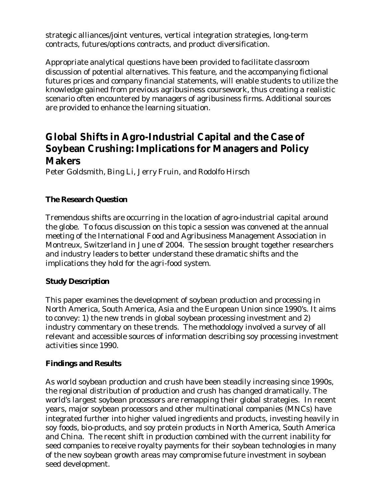strategic alliances/joint ventures, vertical integration strategies, long-term contracts, futures/options contracts, and product diversification.

Appropriate analytical questions have been provided to facilitate classroom discussion of potential alternatives. This feature, and the accompanying fictional futures prices and company financial statements, will enable students to utilize the knowledge gained from previous agribusiness coursework, thus creating a realistic scenario often encountered by managers of agribusiness firms. Additional sources are provided to enhance the learning situation.

# **Global Shifts in Agro-Industrial Capital and the Case of Soybean Crushing: Implications for Managers and Policy Makers**

*Peter Goldsmith, Bing Li, Jerry Fruin, and Rodolfo Hirsch*

## **The Research Question**

Tremendous shifts are occurring in the location of agro-industrial capital around the globe. To focus discussion on this topic a session was convened at the annual meeting of the International Food and Agribusiness Management Association in Montreux, Switzerland in June of 2004. The session brought together researchers and industry leaders to better understand these dramatic shifts and the implications they hold for the agri-food system.

## **Study Description**

This paper examines the development of soybean production and processing in North America, South America, Asia and the European Union since 1990's. It aims to convey: 1) the new trends in global soybean processing investment and 2) industry commentary on these trends. The methodology involved a survey of all relevant and accessible sources of information describing soy processing investment activities since 1990.

## **Findings and Results**

As world soybean production and crush have been steadily increasing since 1990s, the regional distribution of production and crush has changed dramatically. The world's largest soybean processors are remapping their global strategies. In recent years, major soybean processors and other multinational companies (MNCs) have integrated further into higher valued ingredients and products, investing heavily in soy foods, bio-products, and soy protein products in North America, South America and China. The recent shift in production combined with the current inability for seed companies to receive royalty payments for their soybean technologies in many of the new soybean growth areas may compromise future investment in soybean seed development.